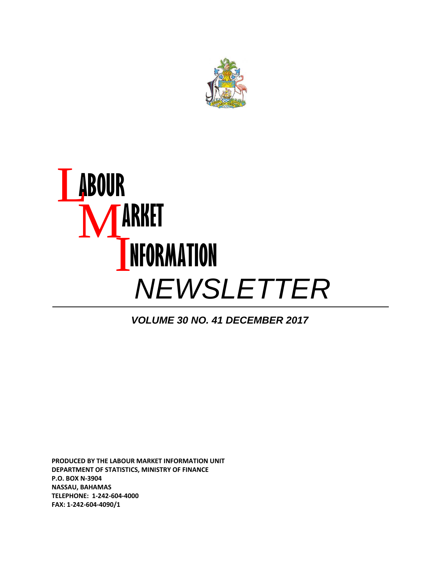

## L **ABOUR**  M **ARKET**  I **NFORMATION** *NEWSLETTER*

*VOLUME 30 NO. 41 DECEMBER 2017*

**PRODUCED BY THE LABOUR MARKET INFORMATION UNIT DEPARTMENT OF STATISTICS, MINISTRY OF FINANCE P.O. BOX N‐3904 NASSAU, BAHAMAS TELEPHONE: 1‐242‐604‐4000 FAX: 1‐242‐604‐4090/1**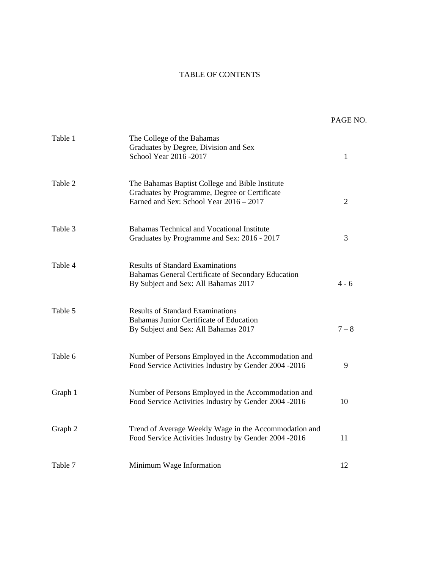#### TABLE OF CONTENTS

|         |                                                                                                                                             | PAGE NO. |
|---------|---------------------------------------------------------------------------------------------------------------------------------------------|----------|
| Table 1 | The College of the Bahamas<br>Graduates by Degree, Division and Sex<br>School Year 2016 - 2017                                              | 1        |
| Table 2 | The Bahamas Baptist College and Bible Institute<br>Graduates by Programme, Degree or Certificate<br>Earned and Sex: School Year 2016 - 2017 | 2        |
| Table 3 | Bahamas Technical and Vocational Institute<br>Graduates by Programme and Sex: 2016 - 2017                                                   | 3        |
| Table 4 | <b>Results of Standard Examinations</b><br>Bahamas General Certificate of Secondary Education<br>By Subject and Sex: All Bahamas 2017       | $4 - 6$  |
| Table 5 | <b>Results of Standard Examinations</b><br>Bahamas Junior Certificate of Education<br>By Subject and Sex: All Bahamas 2017                  | $7 - 8$  |
| Table 6 | Number of Persons Employed in the Accommodation and<br>Food Service Activities Industry by Gender 2004 -2016                                | 9        |
| Graph 1 | Number of Persons Employed in the Accommodation and<br>Food Service Activities Industry by Gender 2004 -2016                                | 10       |
| Graph 2 | Trend of Average Weekly Wage in the Accommodation and<br>Food Service Activities Industry by Gender 2004 -2016                              | 11       |
| Table 7 | Minimum Wage Information                                                                                                                    | 12       |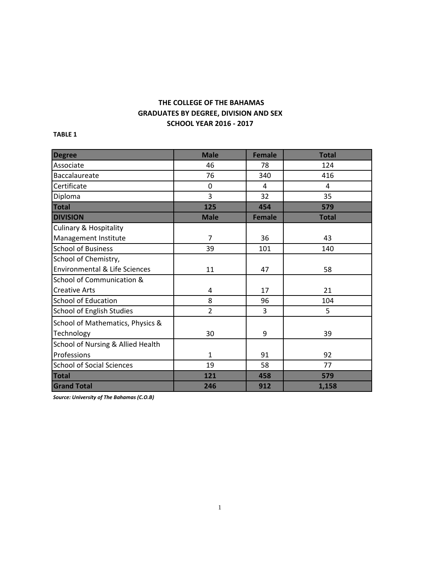### **GRADUATES BY DEGREE, DIVISION AND SEX SCHOOL YEAR 2016 ‐ 2017 THE COLLEGE OF THE BAHAMAS**

**TABLE 1**

| <b>Degree</b>                            | <b>Male</b>    | <b>Female</b> | <b>Total</b> |
|------------------------------------------|----------------|---------------|--------------|
| Associate                                | 46             | 78            | 124          |
| Baccalaureate                            | 76             | 340           | 416          |
| Certificate                              | $\mathbf 0$    | 4             | 4            |
| Diploma                                  | 3              | 32            | 35           |
| <b>Total</b>                             | 125            | 454           | 579          |
| <b>DIVISION</b>                          | <b>Male</b>    | <b>Female</b> | <b>Total</b> |
| <b>Culinary &amp; Hospitality</b>        |                |               |              |
| Management Institute                     | 7              | 36            | 43           |
| <b>School of Business</b>                | 39             | 101           | 140          |
| School of Chemistry,                     |                |               |              |
| <b>Environmental &amp; Life Sciences</b> | 11             | 47            | 58           |
| School of Communication &                |                |               |              |
| <b>Creative Arts</b>                     | 4              | 17            | 21           |
| <b>School of Education</b>               | 8              | 96            | 104          |
| <b>School of English Studies</b>         | $\overline{2}$ | 3             | 5            |
| School of Mathematics, Physics &         |                |               |              |
| Technology                               | 30             | 9             | 39           |
| School of Nursing & Allied Health        |                |               |              |
| Professions                              | $\mathbf{1}$   | 91            | 92           |
| <b>School of Social Sciences</b>         | 19             | 58            | 77           |
| <b>Total</b>                             | 121            | 458           | 579          |
| <b>Grand Total</b>                       | 246            | 912           | 1,158        |

*Source: University of The Bahamas (C.O.B)*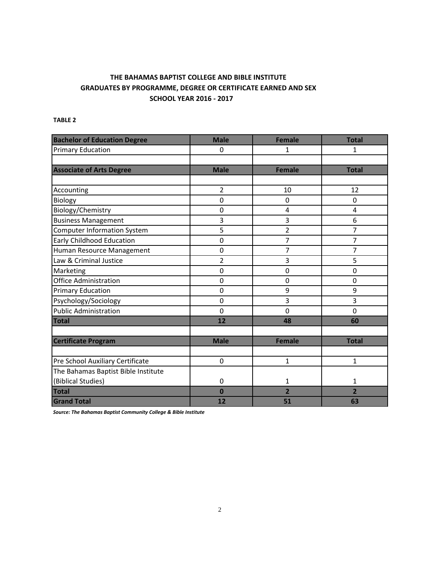#### **THE BAHAMAS BAPTIST COLLEGE AND BIBLE INSTITUTE GRADUATES BY PROGRAMME, DEGREE OR CERTIFICATE EARNED AND SEX SCHOOL YEAR 2016 ‐ 2017**

#### **TABLE 2**

| <b>Bachelor of Education Degree</b> | <b>Male</b>    | <b>Female</b>  | <b>Total</b>   |
|-------------------------------------|----------------|----------------|----------------|
| <b>Primary Education</b>            | 0              | 1              | 1              |
|                                     |                |                |                |
| <b>Associate of Arts Degree</b>     | <b>Male</b>    | <b>Female</b>  | <b>Total</b>   |
|                                     |                |                |                |
| Accounting                          | $\overline{2}$ | 10             | 12             |
| Biology                             | $\overline{0}$ | 0              | $\Omega$       |
| Biology/Chemistry                   | $\Omega$       | 4              | 4              |
| <b>Business Management</b>          | 3              | 3              | 6              |
| <b>Computer Information System</b>  | 5              | $\overline{2}$ | 7              |
| <b>Early Childhood Education</b>    | $\mathbf 0$    | 7              | 7              |
| Human Resource Management           | $\mathbf 0$    | 7              | 7              |
| Law & Criminal Justice              | 2              | 3              | 5              |
| Marketing                           | $\mathbf 0$    | $\mathbf 0$    | $\overline{0}$ |
| <b>Office Administration</b>        | 0              | $\mathbf 0$    | 0              |
| <b>Primary Education</b>            | $\mathbf 0$    | 9              | 9              |
| Psychology/Sociology                | $\mathbf 0$    | 3              | 3              |
| <b>Public Administration</b>        | $\mathbf 0$    | $\mathbf 0$    | $\mathbf 0$    |
| <b>Total</b>                        | 12             | 48             | 60             |
|                                     |                |                |                |
| <b>Certificate Program</b>          | <b>Male</b>    | <b>Female</b>  | <b>Total</b>   |
|                                     |                |                |                |
| Pre School Auxiliary Certificate    | $\mathbf 0$    | $\overline{1}$ | 1              |
| The Bahamas Baptist Bible Institute |                |                |                |
| (Biblical Studies)                  | $\mathbf 0$    | 1              | $\mathbf{1}$   |
| <b>Total</b>                        | $\bf{0}$       | $\overline{2}$ | $\overline{2}$ |
| <b>Grand Total</b>                  | 12             | 51             | 63             |

*Source: The Bahamas Baptist Community College & Bible Institute*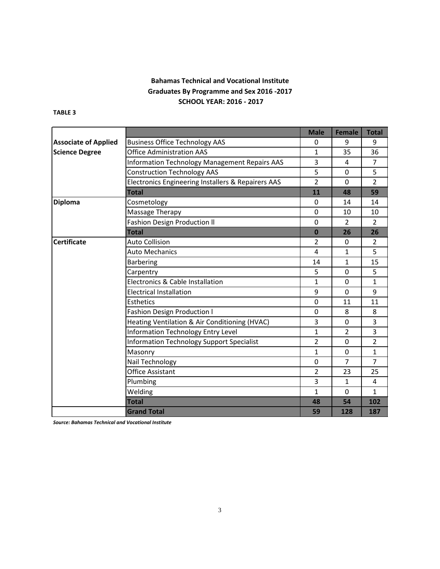#### **Bahamas Technical and Vocational Institute Graduates By Programme and Sex 2016 ‐2017 SCHOOL YEAR: 2016 ‐ 2017**

#### **TABLE 3**

|                             |                                                    | <b>Male</b>    | <b>Female</b>  | <b>Total</b>   |
|-----------------------------|----------------------------------------------------|----------------|----------------|----------------|
| <b>Associate of Applied</b> | <b>Business Office Technology AAS</b>              | 0              | 9              | 9              |
| <b>Science Degree</b>       | <b>Office Administration AAS</b>                   | 1              | 35             | 36             |
|                             | Information Technology Management Repairs AAS      | 3              | 4              | $\overline{7}$ |
|                             | <b>Construction Technology AAS</b>                 | 5              | 0              | 5              |
|                             | Electronics Engineering Installers & Repairers AAS | $\overline{2}$ | $\Omega$       | 2              |
|                             | <b>Total</b>                                       | 11             | 48             | 59             |
| <b>Diploma</b>              | Cosmetology                                        | $\mathbf{0}$   | 14             | 14             |
|                             | Massage Therapy                                    | 0              | 10             | 10             |
|                             | <b>Fashion Design Production II</b>                | $\Omega$       | $\overline{2}$ | $\overline{2}$ |
|                             | <b>Total</b>                                       | $\bf{0}$       | 26             | 26             |
| <b>Certificate</b>          | Auto Collision                                     | $\overline{2}$ | $\mathbf 0$    | $\overline{2}$ |
|                             | <b>Auto Mechanics</b>                              | $\overline{4}$ | 1              | 5              |
|                             | <b>Barbering</b>                                   | 14             | $\mathbf{1}$   | 15             |
|                             | Carpentry                                          | 5              | $\Omega$       | 5              |
|                             | Electronics & Cable Installation                   | $\mathbf{1}$   | $\Omega$       | $\mathbf{1}$   |
|                             | 9                                                  | $\Omega$       | 9              |                |
|                             | $\Omega$                                           | 11             | 11             |                |
|                             | <b>Fashion Design Production I</b>                 | $\Omega$       | 8              | 8              |
|                             | Heating Ventilation & Air Conditioning (HVAC)      | 3              | $\Omega$       | 3              |
|                             | Information Technology Entry Level                 | $\mathbf{1}$   | $\overline{2}$ | 3              |
|                             | <b>Information Technology Support Specialist</b>   | $\overline{2}$ | $\Omega$       | $\overline{2}$ |
|                             | Masonry                                            | $\mathbf{1}$   | $\Omega$       | $\mathbf{1}$   |
|                             | Nail Technology                                    | $\Omega$       | $\overline{7}$ | $\overline{7}$ |
|                             | Office Assistant                                   | $\overline{2}$ | 23             | 25             |
|                             | Plumbing                                           | 3              | $\mathbf{1}$   | 4              |
|                             | Welding                                            | $\mathbf{1}$   | $\Omega$       | $\mathbf{1}$   |
|                             | <b>Total</b>                                       | 48             | 54             | 102            |
|                             | <b>Grand Total</b>                                 | 59             | 128            | 187            |

*Source: Bahamas Technical and Vocational Institute*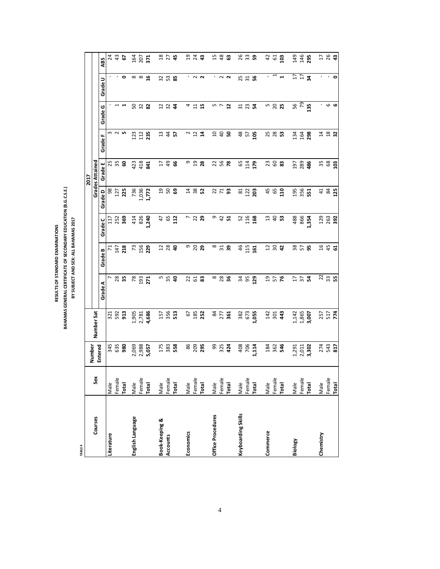BAHAMAS GENERAL CERTIFICATE OF SECONDARY EDUCATION (B.G.C.S.E.) **BAHAMAS GENERAL CERTIFICATE OF SECONDARY EDUCATION (B.G.C.S.E.)** BY SUBJECT AND SEX: ALL BAHAMAS 2017 **BY SUBJECT AND SEX: ALL BAHAMAS 2017** RESULTS OF STANDARD EXAMINATIONS **RESULTS OF STANDARD EXAMINATIONS**

**TABLE 4**

|                           |        | Number  |            |                       |                |                 |                  | <b>2017</b>            |                 |                          |                   |                 |
|---------------------------|--------|---------|------------|-----------------------|----------------|-----------------|------------------|------------------------|-----------------|--------------------------|-------------------|-----------------|
| Courses                   | Sex    |         | Number Sat |                       |                |                 |                  | <b>Grades Attained</b> |                 |                          |                   |                 |
|                           |        | Entered |            | Grade A               | Grade B        | Grade C         | Grade D          | Grade E                | Grade F         | Grade G                  | Grade U           | ABS             |
| Literature                | Male   | 345     | 321        | $\overline{ }$        | $\mathbf{z}$   | $\overline{11}$ | 98               |                        |                 |                          |                   | 24              |
|                           | Female | 635     | 592        | 28                    | 147            | 252             | 127              | 25<br>35               | $\sim$          | $\overline{\phantom{0}}$ | ٠                 | $\frac{4}{3}$   |
|                           | Total  | 980     | 913        |                       | 218            | 369             | 225              | င္ၿ                    | LO <sub>1</sub> | ᆸ                        | $\circ$           | 5               |
| English Language          | Male   | 2,069   | 1,905      | 78                    | $\mathfrak{c}$ | 414             | 736              | 423                    | 123             |                          |                   | 164             |
|                           | Female | 2,988   | 2,781      | 193                   | 156            | 826             | 1,036            | 418                    | 112             | <b>S 3 8</b>             | $\infty$ $\infty$ | 207             |
|                           | Total  | 5,057   | 4,686      | 271                   | 229            | 1,240           | 1,772            | $\overline{a}$         | 235             |                          | $\mathfrak{a}$    | 371             |
| <b>Book-Keeping &amp;</b> | Male   | 175     | 157        |                       |                | 47              |                  | $\overline{17}$        | ఞ               |                          |                   | $^{18}$         |
| Accounts                  | Female | 383     | 356        | <b>5 % a</b>          | 289            | 65              | 220              | $\overline{49}$        | $\ddot{a}$      | 73.74                    | 335               | 27              |
|                           | Total  | 558     | 513        |                       |                | 112             |                  | ಹಿ                     | 5               |                          |                   | 45              |
| Economics                 | Male   | 86      | 67         |                       | თ              |                 |                  | თ                      |                 |                          | ٠.                | 5               |
|                           | Female |         | 185        | 23                    |                | ិ 2 <b>ខ</b>    | 1482             | $\overline{a}$         | $\frac{2}{12}$  | $4\frac{11}{2}$          | $\sim$            | $\overline{24}$ |
|                           | Total  | 209     | 252        | 83                    | 29             |                 |                  | 28                     | ្ម              | 15                       | $\sim$            | $\ddot{a}$      |
| Office Procedures         | Male   | 99      | 84         |                       | $\infty$       | o,              |                  |                        | S.              |                          | ٠.                | 15              |
|                           | Female | 325     | 277<br>361 | $\frac{8}{28}$        | $\frac{3}{2}$  | 42              | 279              | 288                    | $\overline{a}$  | 5<br>5<br>5<br>5         | $\sim$ $\sim$     | $\frac{8}{3}$   |
|                           | Total  | 424     |            |                       |                | ᄓ               |                  |                        | ႙               | $\overline{\mathbf{u}}$  |                   | ය               |
| Keyboarding Skills        | Male   | 408     | 382        | 34                    | 46             | 52              | $81$             | 65                     | $\frac{8}{3}$   | 31                       |                   | 26              |
|                           | Female | 706     | 673        | 95                    | 115            | 116             | 122              | 114                    | 57              | 73                       | 25<br>31          | 33              |
|                           | Total  | 1,114   | 1,055      | 129                   | 161            | 168             | 203              | 179                    | 105             |                          | ူ့                | ဌာ              |
| Commerce                  | Male   | 184     | 142        |                       |                | 13              | 45               | 23                     |                 |                          | ٠                 | $\overline{4}$  |
|                           | Female | 362     | 301        | 957                   | 282            | $\overline{a}$  | 65               | G 33                   | <b>25</b><br>28 | <b>5 8 7</b>             |                   | 61              |
|                           | Total  | 546     | 43         |                       |                | S3              | $\overline{110}$ |                        | ះ               |                          |                   | 103             |
| <b>Biology</b>            | Male   | 1,291   | 1,142      |                       |                | 488             | 195              | 197                    | 134             |                          | $\overline{1}$    | 149             |
|                           | Female | 2,011   | 1,865      | $177$<br>$24$         | $\frac{8}{25}$ | 866             | 356              | 289                    | 164             | $rac{56}{79}$            | $\overline{17}$   | 146             |
|                           | Total  | 3,302   | 3,007      |                       |                | 1,354           | នី               | 486                    | 298             | 135                      | $\mathbf{a}$      | 295             |
| Chemistry                 | Male   | 274     | 257        |                       | 9t             | 129             |                  | 35                     |                 | к.                       | ٠                 |                 |
|                           | Female | 543     | 517<br>774 | $\overline{2}$ ສ<br>ສ | 45             | 263             |                  | 68                     | 48              | $\mathbf \omega$         | $\mathbf{I}$      | 26              |
|                           | Total  | 817     |            |                       | ಡ              | 392             |                  | 103                    | 32              | G                        | ۰                 | $\mathbf{d}^2$  |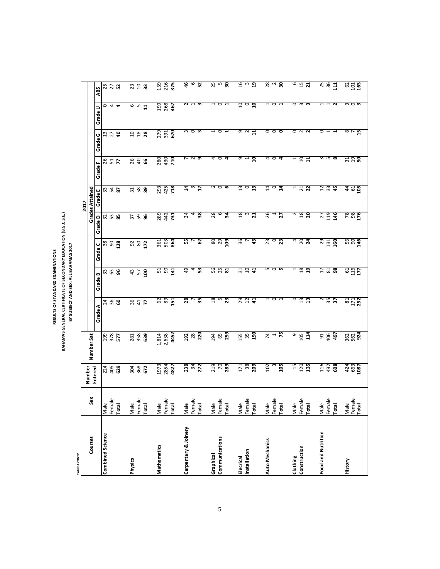RESULTS OF STANDARD EXAMINATIONS **RESULTS OF STANDARD EXAMINATIONS**

# BAHAMAS GENERAL CERTIFICATE OF SECONDARY EDUCATION (B.G.C.S.E.)<br>BY SUBECT AND SEX: ALL BAHAMAS 2017 **BAHAMAS GENERAL CERTIFICATE OF SECONDARY EDUCATION (B.G.C.S.E.) BY SUBJECT AND SEX: ALL BAHAMAS 2017**

**TABLE 4 CONTD.**

TABLE 4 CONTD.

|                         |                                | Number                   |                             |                             |                                           |                  |                   | 2017                                                                                                                                                                                                                                                                                                                |                             |                                               |                          |                       |
|-------------------------|--------------------------------|--------------------------|-----------------------------|-----------------------------|-------------------------------------------|------------------|-------------------|---------------------------------------------------------------------------------------------------------------------------------------------------------------------------------------------------------------------------------------------------------------------------------------------------------------------|-----------------------------|-----------------------------------------------|--------------------------|-----------------------|
| Courses                 | Sex                            | Entered                  | Number Sat                  |                             |                                           |                  |                   | <b>Grades Attained</b>                                                                                                                                                                                                                                                                                              |                             |                                               |                          |                       |
|                         |                                |                          |                             | Grade A                     | Grade B                                   | Grade C          | Grade D           | Grade E                                                                                                                                                                                                                                                                                                             | Grade F                     | Grade G                                       | Grade                    | ABS                   |
| <b>Combined Science</b> | Male                           |                          | 199                         |                             |                                           |                  |                   |                                                                                                                                                                                                                                                                                                                     |                             |                                               |                          |                       |
|                         | Female                         | 224<br>405               | 378<br>577                  | <b>2 % 8</b>                | $\frac{3}{2}$ $\frac{3}{2}$               | <u>ន ន ន</u>     | 235               | 33 <b>25</b>                                                                                                                                                                                                                                                                                                        | 8 H Z                       | $\frac{3}{2}$ $\frac{5}{4}$                   | 044                      | 25<br>27<br><b>22</b> |
|                         | Total                          | 629                      |                             |                             |                                           |                  |                   |                                                                                                                                                                                                                                                                                                                     |                             |                                               |                          |                       |
|                         |                                |                          |                             |                             |                                           |                  |                   |                                                                                                                                                                                                                                                                                                                     |                             |                                               |                          |                       |
| Physics                 | Male                           |                          | 281                         |                             |                                           |                  |                   |                                                                                                                                                                                                                                                                                                                     |                             |                                               |                          | 23                    |
|                         | Female                         | 304                      | 358                         | 8 <del>4</del> 7            | $\frac{4}{3}$ $\frac{1}{2}$ $\frac{5}{2}$ | 980              | $\frac{2}{3}$ និ  | $\frac{1}{2}$ $\frac{1}{2}$ $\frac{1}{2}$ $\frac{1}{2}$ $\frac{1}{2}$ $\frac{1}{2}$ $\frac{1}{2}$ $\frac{1}{2}$ $\frac{1}{2}$ $\frac{1}{2}$ $\frac{1}{2}$ $\frac{1}{2}$ $\frac{1}{2}$ $\frac{1}{2}$ $\frac{1}{2}$ $\frac{1}{2}$ $\frac{1}{2}$ $\frac{1}{2}$ $\frac{1}{2}$ $\frac{1}{2}$ $\frac{1}{2}$ $\frac{1}{2}$ | 268                         | $\begin{array}{c} 2 & 8 \\ 3 & 8 \end{array}$ | e w                      | 10 <sub>3</sub>       |
|                         | Total                          | 672                      | 639                         |                             |                                           |                  |                   |                                                                                                                                                                                                                                                                                                                     |                             |                                               | $\overline{1}$           |                       |
| Mathematics             | Male                           | 1973                     |                             |                             |                                           |                  | 289               |                                                                                                                                                                                                                                                                                                                     |                             |                                               | 199                      | 159                   |
|                         | Female                         | 2854                     | 1,814<br>2,638              |                             | $51$<br>$90$                              | 361<br>503       |                   |                                                                                                                                                                                                                                                                                                                     | 280<br>430                  |                                               | 268                      | 216                   |
|                         | Total                          | 4827                     | 4452                        | $\frac{2}{8}$ $\frac{1}{1}$ | $\overline{141}$                          | 864              | 442<br>731        | 293<br>425<br>718                                                                                                                                                                                                                                                                                                   | <b>PIO</b>                  | 279<br>391<br>670                             | 467                      | 375                   |
| Carpentary & Joinery    | Male                           |                          |                             | $\overline{28}$             | 49                                        |                  | 34                |                                                                                                                                                                                                                                                                                                                     |                             |                                               | $\sim$                   | 46                    |
|                         | Female                         |                          |                             | L                           | 4                                         | $\frac{55}{7}$   | 4                 | $\frac{4}{3}$ $\frac{3}{2}$                                                                                                                                                                                                                                                                                         | $\frac{1}{2}$               | $m \circ m$                                   | $\mathbf{\mathbf{t}}$    | $\circ$               |
|                         | Total                          | 238<br>34<br>272         | $\frac{28}{28}$             | $\overline{35}$             | 53                                        | 62               | 38                |                                                                                                                                                                                                                                                                                                                     |                             |                                               | m                        | 52                    |
| Graphical               | Male                           |                          | 194                         | $\frac{8}{18}$              |                                           | 80               | 28                | 9                                                                                                                                                                                                                                                                                                                   | 4                           | $\overline{\phantom{0}}$                      |                          |                       |
| Communications          | Female                         |                          | 65                          | S                           |                                           | 29               | $\circ$           | $\circ$                                                                                                                                                                                                                                                                                                             | $\circ$                     | $\circ$                                       | $\circ$                  | 25                    |
|                         | Total                          | 219<br>70<br>289         | 259                         | $\overline{23}$             | <b>56<br/>25</b><br>81                    | 109              | $\overline{34}$   | ဖ                                                                                                                                                                                                                                                                                                                   | 4                           | $\mathbf{r}$                                  | ⊣                        | 30                    |
| Elecrical               | Male                           |                          |                             | $^{29}$                     | 31                                        | 36               | 18                | 13                                                                                                                                                                                                                                                                                                                  | e                           | G                                             | $10 \,$                  | 16                    |
| Installation            | Female<br>Total                | 171<br>38<br>209         | <b>155</b><br>35            | 12                          | $\overline{10}$                           | L                | $\frac{3}{21}$    | $\circ$                                                                                                                                                                                                                                                                                                             | $\frac{1}{10}$              | $\sim$                                        | $\circ$                  | $\frac{3}{19}$        |
|                         |                                |                          | 190                         | $\frac{4}{4}$               | $\frac{4}{4}$                             | 43               |                   | $\overline{a}$                                                                                                                                                                                                                                                                                                      |                             | 11                                            | ្ក                       |                       |
| Auto Mechanics          | Male                           | 102                      |                             | $\overline{ }$              |                                           | 23               |                   | $\overline{4}$                                                                                                                                                                                                                                                                                                      |                             | $\circ$                                       | $\overline{\phantom{0}}$ |                       |
|                         | Female<br>Total                | $\mathfrak{g}$           | $\frac{4}{5}$ $\frac{1}{5}$ | $\circ$                     | 5<br>5<br>5<br>5<br>5                     | $\circ$          | $rac{1}{25}$      | $\circ$                                                                                                                                                                                                                                                                                                             | 404                         | $\circ$                                       | $\circ$                  | $28$<br>$2$<br>30     |
|                         |                                | 105                      |                             | $\mathbf{r}$                |                                           | 23               |                   | न्न                                                                                                                                                                                                                                                                                                                 |                             | $\circ$                                       | $\mathbf{r}$             |                       |
| Clothing                | Male                           | $15 \,$                  |                             | $\circ$                     | $\mathbf{r}$                              | 4                |                   | $\mathbf{r}$                                                                                                                                                                                                                                                                                                        | $\overline{\phantom{0}}$    |                                               | $\circ$                  | 9                     |
| Construction            |                                | 120<br>135               | $\frac{9}{105}$             | $13$<br>$13$                | $18$<br>19                                | $\frac{20}{24}$  | $\frac{18}{18}$   |                                                                                                                                                                                                                                                                                                                     | $\frac{10}{11}$             | $\circ$ $\sim$ $\sim$                         | $\mathsf{c}$             | $15$<br>21            |
|                         | Female<br>Total                |                          | 114                         |                             |                                           |                  |                   | $\frac{21}{22}$                                                                                                                                                                                                                                                                                                     |                             |                                               | m                        |                       |
| Food and Nutrition      | Male                           | 116                      |                             | 2                           | $17 \,$                                   |                  | 27                |                                                                                                                                                                                                                                                                                                                     |                             | $\circ$                                       |                          | 25<br>86              |
|                         | Female                         | 492                      | <b>91</b><br>406            | $\frac{35}{37}$             | $\frac{81}{98}$                           | ង ដូ <b>ខ្ញុ</b> | $\frac{119}{146}$ | $\overline{2 \overline{3}}$                                                                                                                                                                                                                                                                                         | ന ഥ <b>യ</b>                | $\overline{a}$                                |                          |                       |
|                         | Total                          | 608                      | 497                         |                             |                                           |                  |                   |                                                                                                                                                                                                                                                                                                                     |                             |                                               | $\sim$                   | 111                   |
| History                 | Male<br>Female<br><b>Total</b> | $424$<br>$663$<br>$1087$ | $\frac{362}{562}$           | 81<br>171<br>252            | $\frac{61}{116}$                          | $\frac{56}{90}$  | <b>88176</b>      | 495                                                                                                                                                                                                                                                                                                                 | $\frac{1}{3}$ $\frac{1}{3}$ | ®ក<br>អ                                       | $m$ $\circ$ $\bm{m}$     | $\frac{62}{101}$      |
|                         |                                |                          |                             |                             |                                           |                  |                   |                                                                                                                                                                                                                                                                                                                     |                             |                                               |                          |                       |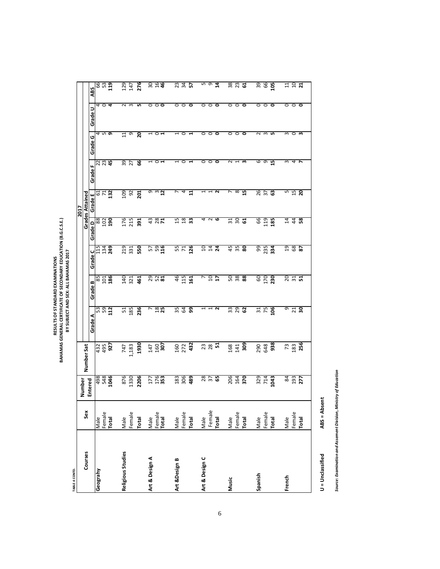| TABLE 4 CONTD.    |                                |                          |                   |                    |                         |                                      |                                    | 2017                   |                           |                                  |                    |                |
|-------------------|--------------------------------|--------------------------|-------------------|--------------------|-------------------------|--------------------------------------|------------------------------------|------------------------|---------------------------|----------------------------------|--------------------|----------------|
| Courses           | Sex                            | Number                   | Number Sat        |                    |                         |                                      |                                    | <b>Grades Attained</b> |                           |                                  |                    |                |
|                   |                                | Entered                  |                   | Grade A            | Grade B                 | Grade C                              |                                    | Grade E                | Grade F                   | Grade G                          | Grade U            | ABS            |
| Geograhy          | əleW                           | 990T<br>875<br>867       | 432<br>495        | 592<br>592         | 85<br>101<br><b>186</b> | 115<br>134                           | Grade D<br>88<br>102<br>190<br>190 | <b>G H R</b>           | $\frac{22}{23}$           | ⊄ ഗ 5                            | $\circ$            | er<br>13<br>19 |
|                   | Female<br>Total                |                          | 927               |                    |                         | 249                                  |                                    |                        |                           |                                  | 4                  |                |
| Religious Studies | Male                           | 876                      | 747               | 51                 | 140                     | 219                                  | 176                                | 109                    | $\overline{39}$           | 4                                | $\sim$             |                |
|                   | Female                         | 1330                     | 1,183             | 185                | 321                     | 331                                  | 215                                | $\frac{92}{201}$       | 27                        | თ                                | $\sim$             | 129<br>147     |
|                   | Total                          | 2206                     | 1930              | 236                | 461                     | 550                                  | 391                                |                        | 66                        | 20                               | LO.                | 276            |
| Art & Design A    |                                |                          | 147               | r                  |                         |                                      |                                    | თო                     |                           |                                  | 0                  |                |
|                   | Male<br>Female<br><b>Total</b> | 177<br>176<br><b>353</b> | $\frac{160}{307}$ | $\frac{28}{25}$    | 29<br>52<br><b>81</b>   | 5<br>5<br>9<br>1<br>1<br>1<br>9<br>1 | $\frac{1}{38}$                     | $12 \overline{ }$      | $\circ$<br>$\blacksquare$ | $\circ$<br>$\blacktriangleright$ | $\circ$<br>$\circ$ | 3046           |
| Art &Design B     |                                |                          |                   |                    | 46                      |                                      | 15                                 | $\overline{ }$         |                           | 1                                | $\mathord{\circ}$  |                |
|                   | Male<br>Female<br><b>Total</b> | 183<br>306<br>489        | $\frac{160}{272}$ | $rac{35}{64}$      | 115                     | 55<br>71                             | 18                                 | 4                      | $\circ$                   | $\circ$                          |                    |                |
|                   |                                |                          |                   | ஓ                  | 161                     | 126                                  | 33                                 | $\mathbf{1}$           | 1                         | ⊣                                | 0                  |                |
| Art & Design C    | Male                           |                          |                   | ⊣                  | r                       | $\overline{10}$                      | 4                                  | $\overline{ }$         | $\circ$                   | $\circ$                          | 0                  | m              |
|                   | Female<br>Total                | 28<br>37<br>65           | <b>23</b><br>28   | $\overline{a}$     | $10 \,$                 | 14                                   | $\sim$ $\circ$                     |                        | $\circ$                   | $\circ$                          |                    | ഐ              |
|                   |                                |                          | ភ                 |                    | 17                      | 24                                   |                                    | N                      | ۰                         | $\circ$                          | c                  | $\mathbf{z}$   |
| Music             | Male                           | 206                      | 168               |                    | 50                      | 45                                   |                                    | L                      | $\overline{\mathsf{c}}$   | 0                                |                    |                |
|                   | Female                         | 164<br>370               | 141               | <u>នា</u><br>ខេត្ត | 38                      | 35<br>80                             | <b>ដ ន ផ</b>                       | $^{\circ}$             | ⊣                         | $\circ$                          |                    | 382            |
|                   | Total                          |                          | 309               |                    | 88                      |                                      |                                    | 15                     | m                         | ۰                                | ۰                  |                |
| Spanish           |                                |                          | 290<br>648        |                    | 60                      | 99                                   | 99                                 | 26                     | 9                         | $\overline{\mathsf{c}}$          | $\circ$            | 39<br>66       |
|                   | Male<br>Female                 | $\frac{329}{714}$        |                   | $\frac{31}{75}$    | 170                     | 235                                  | 119                                | $\frac{37}{63}$        | G                         | $\epsilon$                       |                    |                |
|                   | Total                          |                          | 938               | 106                | 230                     | 334                                  | 185                                |                        | 15                        | LO.                              | 0                  | ខ្ន            |
| French            | Male                           |                          |                   | G                  | 20                      | $\overline{19}$                      | $\sharp$                           | S                      | w                         | $\mathsf{c}$                     |                    |                |
|                   | Female                         | 84<br>193                | <b>73</b><br>183  | $\frac{21}{30}$    | <u>ង ដ</u>              | 68                                   | 44                                 | $\frac{15}{20}$        | 4                         | $\circ$                          |                    | 122            |
|                   | Total                          | 277                      | 256               |                    |                         | 87                                   |                                    |                        | r                         | m                                | 0                  |                |
|                   |                                |                          |                   |                    |                         |                                      |                                    |                        |                           |                                  |                    |                |

RESULTS OF STANDARD EXAMINATIONS<br>BAHAMAS GENERAL CERTIFICATE OF SECONDARY EDUCATION (B.G.C.S.E.)<br>BY SUBJECT AND SEX: ALL BAHAMAS 2017 **BAHAMAS GENERAL CERTIFICATE OF SECONDARY EDUCATION (B.G.C.S.E.) BY SUBJECT AND SEX: ALL BAHAMAS 2017 RESULTS OF STANDARD EXAMINATIONS**

> ABS = Absent **= Unclassified ABS = Absent** U = Unclassified

Source: Examination and Assement Division, Ministry of Education *Source: Examination and Assement Division, Ministry of Education*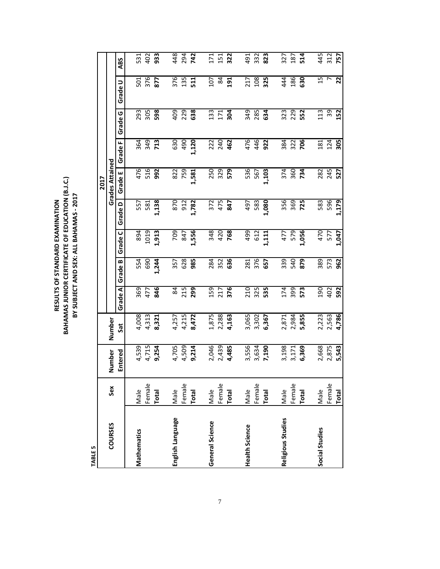RESULTS OF STANDARD EXAMINATION<br>BAHAMAS JUNIOR CERTIFICATE OF EDUCATION (B.J.C.)<br>BY SUBJECT AND SEX: ALL BAHAMAS - 2017 **BAHAMAS JUNIOR CERTIFICATE OF EDUCATION (B.J.C.) BY SUBJECT AND SEX: ALL BAHAMAS ‐ 2017RESULTS OF STANDARD EXAMINATION**

**TABLE 5**

|                       |        |         |            |         |            |                          |            | 2017                   |            |            |                |                          |
|-----------------------|--------|---------|------------|---------|------------|--------------------------|------------|------------------------|------------|------------|----------------|--------------------------|
| <b>COURSES</b>        | Sex    | Number  | Number     |         |            |                          |            | <b>Grades Attained</b> |            |            |                |                          |
|                       |        | Entered | <b>Sat</b> | Grade A | ∞<br>Grade | ں<br>Grade               | ≏<br>Grade | ш<br>Grade             | щ<br>Grade | ပ<br>Grade | ⊃<br>Grade     | ABS                      |
|                       |        |         |            |         |            |                          |            |                        |            |            |                |                          |
| <b>Mathematics</b>    | Male   | 4,539   | 4,008      | 369     | 554        | 894                      | 557        | 476                    | 364        | 293        | 501            | 531                      |
|                       | Female | 4,715   | 4,313      | 477     | 690        | 1019                     | 581        | 516                    | 349        | 305        | 376            | 402                      |
|                       | Total  | 9,254   | 8,321      | 846     | 1,244      | 1,913                    | ,138       | 992                    | 713        | 598        | 877            | 933                      |
| English Language      | Male   | 4,705   | 4,257      | 84      | 357        | P02                      | 870        | 822                    | 630        | 409        | 376            | 448                      |
|                       | Female | 4,509   | 4,215      | 215     | 628        | 847                      | 912        | 759                    | 490        | 229        | 135            | 294                      |
|                       | Total  | 9,214   | 8,472      | 299     | 985        | 1,556                    | 1,782      | 1,581                  | 1,120      | 638        | 511            | 742                      |
| General Science       | Male   | 2,046   | 1,875      | 159     | 284        |                          | 372        | 250                    | 222        | 133        | 107            | $\overline{171}$         |
|                       | Female | 2,439   | 2,288      | 217     | 352        | 348<br>420<br><b>768</b> | 475        | 329                    | 240        | 171        | 84             | 151                      |
|                       | Total  | 4,485   | 4,163      | 376     | 636        |                          | 847        | 579                    | 462        | 304        | 191            | 322                      |
| <b>Health Science</b> | Male   | 3,556   | 3,065      | 210     |            | 499                      | 497        | 536                    | 476        |            | 217            | 491                      |
|                       | Female | 3,634   | 3,302      | 325     | 281<br>376 | 612                      | 583        | 567                    | 446        | 349<br>285 | 108            | 332                      |
|                       | Total  | 7,190   | 6,367      | 535     | 657        | ,111                     | 1,080      | 1,103                  | 922        | 634        | 325            | 823                      |
| Religious Studies     | Male   | 3,198   | 2,871      | 174     | 339        | 477                      | 356        | 374                    | 384        | 323        | 44             | 327                      |
|                       | Female | 3,171   | 2,984      | 399     | 540        | 579                      | 369        | 360                    | 322        | 229        | 186            | 187                      |
|                       | Total  | 6,369   | 5,855      | 573     | 879        | 1,056                    | 725        | 734                    | 706        | 552        | 630            | 514                      |
| Social Studies        | Male   | 2,668   | 2,223      | 190     | 389        | 470                      | 583        |                        |            | 113        | $\overline{1}$ |                          |
|                       | Female | 2,875   | 2,563      | 402     | 573        | 1,047                    | 596        | 282<br>245             | 181<br>124 | 39         | r              | 445<br>312<br><b>757</b> |
|                       | Total  | 5,543   | 4,786      | 592     | 962        |                          | 1,179      | 527                    | 305        | 152        | 22             |                          |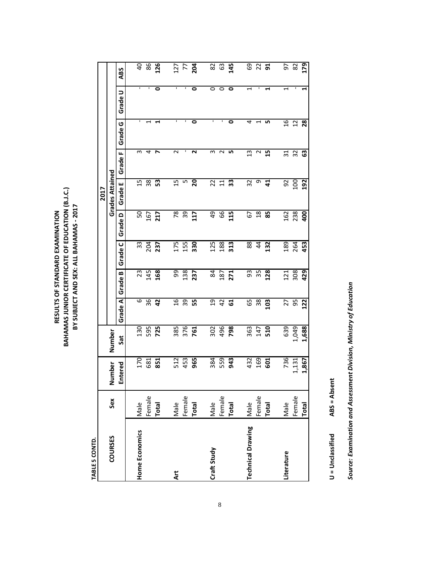RESULTS OF STANDARD EXAMINATION<br>BAHAMAS JUNIOR CERTIFICATE OF EDUCATION (B.J.C.)<br>BY SUBJECT AND SEX: ALL BAHAMAS - 2017 **BAHAMAS JUNIOR CERTIFICATE OF EDUCATION (B.J.C.) BY SUBJECT AND SEX: ALL BAHAMAS ‐ 2017RESULTS OF STANDARD EXAMINATION**

> TABLE 5 CONTD. **TABLE 5 CONTD.**

|                          |              |         |        |                 |            |                |                 | 2017                   |                 |            |                                   |                    |
|--------------------------|--------------|---------|--------|-----------------|------------|----------------|-----------------|------------------------|-----------------|------------|-----------------------------------|--------------------|
| <b>COURSES</b>           | Sex          | Number  | Number |                 |            |                |                 | <b>Grades Attained</b> |                 |            |                                   |                    |
|                          |              | Entered | Sat    | Grade A         | ≃<br>Grade | ں<br>Grade     | Grade D         | Grade E                | щ<br>Grade      | O<br>Grade | $\overline{\phantom{0}}$<br>Grade | <b>ABS</b>         |
|                          |              |         |        |                 |            |                |                 |                        |                 |            |                                   |                    |
| Home Economics           | Male         | 170     | 130    | 6               | 23         | 33             | SO              | $\overline{1}$         | m               | ٠          | ı                                 |                    |
|                          | Female       | 681     | 595    | 36              | 145        | 204<br>237     | 167             | 38                     | 4               |            |                                   | $rac{4}{8}$        |
|                          | <b>Total</b> | 851     | 725    | $\overline{a}$  | 168        |                | 217             | က္တ                    | ∼               |            | 0                                 | <b>126</b>         |
|                          |              |         |        |                 |            |                |                 |                        |                 |            |                                   |                    |
| Art                      | Male         | 512     | 385    | 16              | 99         | 175            | $\overline{78}$ | $\overline{1}$         | $\sim$          | ı          | ı                                 |                    |
|                          | Female       | 453     | 376    | 39              | 138        | 155            | 39              | LO                     | ٠               | ٠          |                                   | $\frac{17}{7}$ 7 8 |
|                          | <b>Total</b> | 965     | 761    | 55              | 237        | 330            | 117             | 20                     | ี               | 0          | 0                                 |                    |
|                          |              |         |        |                 |            |                |                 |                        |                 |            |                                   |                    |
| Craft Study              | Male         | 384     | 302    | $\overline{5}$  | 84         | 125            | 49              | 22                     | ω               | Ţ          | 0                                 | 82                 |
|                          | Female       | 559     | 496    | 42              | 187        | 188            | 66              | $\overline{11}$        | $\sim$          | ٠          | $\circ$                           | 63                 |
|                          | <b>Total</b> | 943     | 798    | 5               | 271        | 313            | 115             | 33                     | LŊ,             | 0          | 0                                 | 145                |
|                          |              |         |        |                 |            |                |                 |                        |                 |            |                                   |                    |
| <b>Technical Drawing</b> | Male         | 432     | 363    | 59              | 93         | 88             | 67              | 32                     | 13              | 4          | 1                                 | 69                 |
|                          | Female       | 169     | 147    | $\overline{38}$ | 35         | $\overline{4}$ | 18              | თ                      | $\sim$          | 7          |                                   | $\frac{2}{9}$      |
|                          | Total        | 601     | 510    | 103             | 128        | 132            | 85              | $\overline{4}$         | 15              | Lη         | H                                 |                    |
|                          |              |         |        |                 |            |                |                 |                        |                 |            |                                   |                    |
| Literature               | Male         | 736     | 639    | 27              | 121        | 189            | 162             | 92                     | $\overline{31}$ | 16         | $\overline{\phantom{0}}$          | 5                  |
|                          | Female       | 1,131   | 1,049  | 56              | 308        | 264            | 238             | 100                    | 32              | 12         |                                   | 82                 |
|                          | <b>Total</b> | 1,867   | 1,688  | 122             | 429        | 453            | <b>90</b>       | 192                    | යි              | 28         | 4                                 | 179                |

ABS = Absent **= Unclassified ABS = Absent** U = Unclassified Source: Examination and Assessment Division, Ministry of Education *Source: Examination and Assessment Division, Ministry of Education*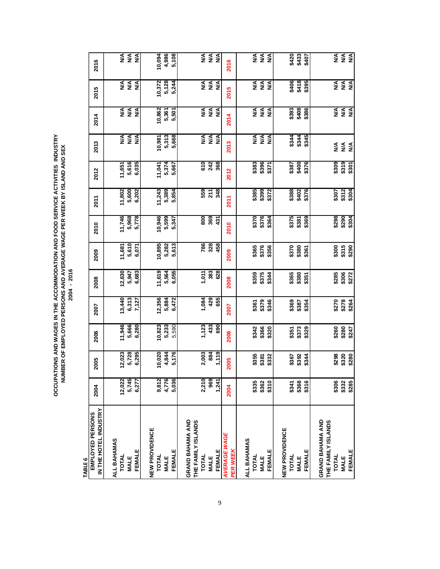**OCCUPATIONS AND WAGES IN THE ACCOMMODATION AND FOOD SERVICE ACTIVITIES INDUSTRY**<br>NUMBER OF EMPLOYED PERSONS AND AVERAGE WAGE PER WEEK BY ISLAND AND SEX<br>2004 - 2016 **OCCUPATIONS AND WAGES IN THE ACCOMMODATION AND FOOD SERVICE ACTIVITIES INDUSTRY NUMBER OF EMPLOYED PERSONS AND AVERAGE WAGE PER WEEK BY ISLAND AND SEX 2004 - 2016**

**TABLE 6**

| 2016                                      |                             | NA<br>NA<br>NA         |        |                | 10,094       | 4,986<br>5,108        |                  |                    | N/A<br>N/A   | $\frac{4}{2}$          |       | 2016                            |             |              | NA<br>NA<br>NA          |               |                |              | \$420<br>\$433 | \$407                   |                  |                    | <b>NA<br/>NA</b><br>NA   |                |               |
|-------------------------------------------|-----------------------------|------------------------|--------|----------------|--------------|-----------------------|------------------|--------------------|--------------|------------------------|-------|---------------------------------|-------------|--------------|-------------------------|---------------|----------------|--------------|----------------|-------------------------|------------------|--------------------|--------------------------|----------------|---------------|
| 2015                                      |                             | <b>AS</b><br><b>MA</b> | ≸      |                | 10,372       | 5,128<br>5,244        |                  |                    | NA<br>NA     | ≸                      |       | 2015                            |             |              | A<br>≥ ≨                | $\frac{4}{2}$ |                |              | \$406<br>\$418 | \$395                   |                  |                    | <b>NA<br/>NA</b><br>NA   |                |               |
| 2014                                      | ≸                           | <b>N/A</b>             | ≸      |                | 10,862       | 5,361<br>5,501        |                  |                    | $rac{1}{2}$  |                        | ≸     | 2014                            |             | ≸            | $\stackrel{\leq}{\geq}$ | ≸             |                |              |                | \$393<br>\$408<br>\$386 |                  |                    | N/A                      | <b>N/A</b>     | N/A           |
| 2013                                      |                             | NA<br>NA<br>NA         |        |                | 10,981       | 5,313<br>5,668        |                  |                    |              | <b>NA<br/>NA</b><br>NA |       | 2013                            |             |              | $rac{4}{2}$             | $\frac{4}{2}$ |                | \$344        | \$344          | \$345                   |                  |                    | ≸                        | ≸              | $\frac{4}{2}$ |
| 2012                                      | 11,651                      | 5,616                  | 6,035  |                | 11,041       | 5,374<br>5,667        |                  |                    | 610<br>242   | 368                    |       | 2012                            |             | \$383        | \$396                   | \$371         |                |              | \$387<br>\$400 | \$376                   |                  |                    | \$309                    | \$319          | \$301         |
| 2011                                      |                             | 11,802<br>5,600        | 6,202  |                | 11,243       | 5,389<br>5,854        |                  |                    | 559          | 348<br>211             |       | <b>2011</b>                     |             | \$385        | \$399                   | \$372         |                | \$388        | \$402          | \$376                   |                  |                    | \$307<br>\$312<br>\$304  |                |               |
| 2010                                      | 11,746                      | 5,968                  | 5,778  |                | 10,946       | 5,599<br>5,347        |                  |                    | 800<br>369   |                        | 431   | 2010                            |             |              | \$376<br>\$376          | \$364         |                |              | \$375<br>\$381 | \$369                   |                  |                    | \$298<br>\$2904<br>\$304 |                |               |
| 2009                                      | 11,681                      | 5,610                  | 6,071  |                | 10,895       | 5,282<br>5,613        |                  |                    | 786<br>328   | 458                    |       | 2009                            |             | \$365        | \$376                   | \$356         |                | \$370        | \$380          | \$361                   |                  |                    | <b>\$315</b><br>\$315    |                | \$290         |
| 2008                                      | 12,630                      | 5,947                  | 6,683  |                | 11,619       | 5,564<br>6,055        |                  |                    | 1,011<br>383 | 628                    |       | 2008                            |             | \$359        | \$375                   | \$344         |                | \$365        | \$380          | \$351                   |                  |                    | \$285<br>\$306<br>\$272  |                |               |
| 2007                                      | 13,440                      | 6,313                  | 7,127  |                | 12,356       | 5,884<br>6,472        |                  |                    |              | 1,084<br>429<br>655    |       | 2007                            |             | \$361        | \$379                   | \$346         |                |              | \$387<br>\$387 | \$354                   |                  |                    | \$270                    | \$278<br>\$264 |               |
| 2006                                      | 11,946                      | 5,666                  | 6,280  |                | 10,823       | 5,233<br>5,590        |                  |                    |              | 1,123<br>433<br>690    |       | 2006                            |             | \$342        | \$366                   | \$320         |                |              | \$351<br>\$373 | \$329                   |                  |                    | \$280<br>\$280<br>\$247  |                |               |
| 2005                                      | 12,023                      | 5,728                  | 6,295  |                | 10,020       | 5,176<br>4,844        |                  |                    | 2,003        | 884                    | 1,119 | 2005                            |             | \$355        | \$381                   | \$332         |                |              | \$367<br>\$392 | \$344                   |                  |                    | \$298                    | \$320          | \$280         |
| 2004                                      | 12,022                      | 5,745                  | 6,277  |                | 9,812        | 5,036<br>4,776        |                  |                    | 2,210        | 969                    | 1,241 | 2004                            |             | \$335        | \$362                   | \$310         |                | \$341        | \$368          | \$316                   |                  |                    | \$306                    | \$332          | \$285         |
| IN THE HOTEL INDUSTRY<br>EMPLOYED PERSONS | ALL BAHAMAS<br><b>TOTAL</b> | <b>MALE</b>            | FEMALE | NEW PROVIDENCE | <b>TOTAL</b> | FEMALE<br><b>MALE</b> | GRAND BAHAMA AND | THE FAMILY ISLANDS | TOTAL        | FEMALE<br><b>MALE</b>  |       | <b>AVERAGE WAGE</b><br>PER WEEK | ALL BAHAMAS | <b>TOTAL</b> | <b>MALE</b>             | FEMALE        | NEW PROVIDENCE | <b>TOTAL</b> | <b>MALE</b>    | FEMALE                  | GRAND BAHAMA AND | THE FAMILY ISLANDS | TOTAL                    | <b>MALE</b>    | FEMALE        |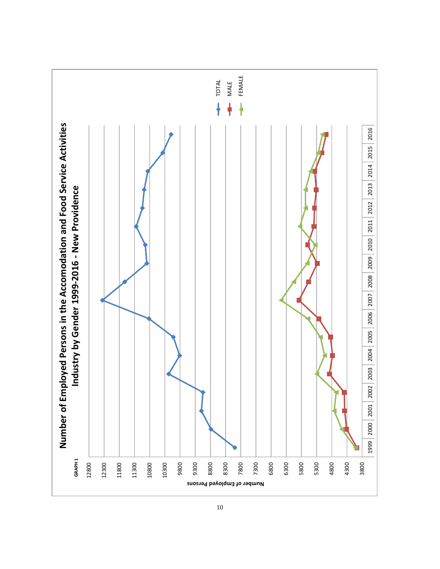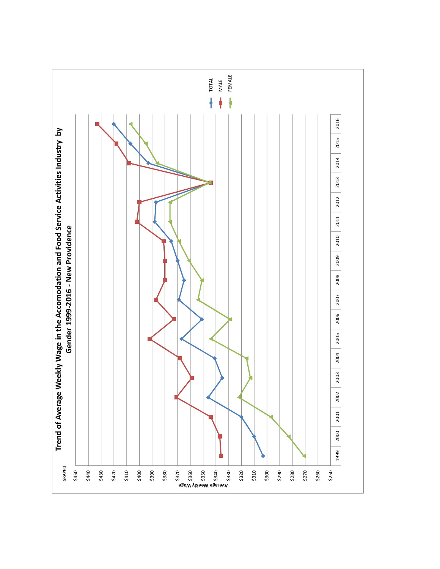